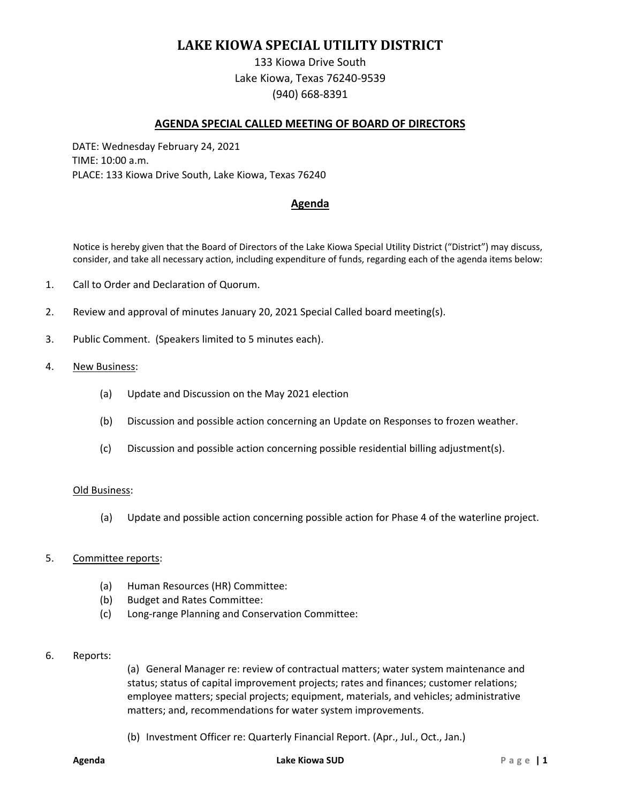# **LAKE KIOWA SPECIAL UTILITY DISTRICT**

133 Kiowa Drive South Lake Kiowa, Texas 76240-9539 (940) 668-8391

### **AGENDA SPECIAL CALLED MEETING OF BOARD OF DIRECTORS**

DATE: Wednesday February 24, 2021 TIME: 10:00 a.m. PLACE: 133 Kiowa Drive South, Lake Kiowa, Texas 76240

# **Agenda**

Notice is hereby given that the Board of Directors of the Lake Kiowa Special Utility District ("District") may discuss, consider, and take all necessary action, including expenditure of funds, regarding each of the agenda items below:

- 1. Call to Order and Declaration of Quorum.
- 2. Review and approval of minutes January 20, 2021 Special Called board meeting(s).
- 3. Public Comment. (Speakers limited to 5 minutes each).
- 4. New Business:
	- (a) Update and Discussion on the May 2021 election
	- (b) Discussion and possible action concerning an Update on Responses to frozen weather.
	- (c) Discussion and possible action concerning possible residential billing adjustment(s).

#### Old Business:

(a) Update and possible action concerning possible action for Phase 4 of the waterline project.

#### 5. Committee reports:

- (a) Human Resources (HR) Committee:
- (b) Budget and Rates Committee:
- (c) Long-range Planning and Conservation Committee:
- 6. Reports:

(a) General Manager re: review of contractual matters; water system maintenance and status; status of capital improvement projects; rates and finances; customer relations; employee matters; special projects; equipment, materials, and vehicles; administrative matters; and, recommendations for water system improvements.

(b) Investment Officer re: Quarterly Financial Report. (Apr., Jul., Oct., Jan.)